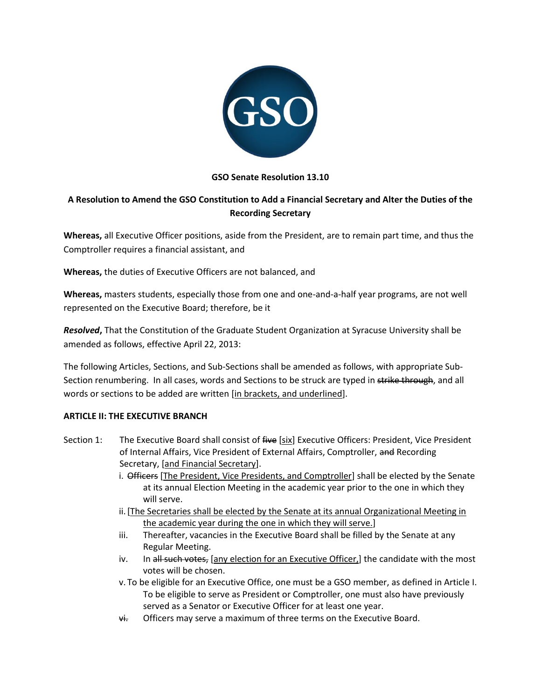

## **GSO Senate Resolution 13.10**

## **A Resolution to Amend the GSO Constitution to Add a Financial Secretary and Alter the Duties of the Recording Secretary**

**Whereas,** all Executive Officer positions, aside from the President, are to remain part time, and thus the Comptroller requires a financial assistant, and

**Whereas,** the duties of Executive Officers are not balanced, and

**Whereas,** masters students, especially those from one and one-and-a-half year programs, are not well represented on the Executive Board; therefore, be it

*Resolved***,** That the Constitution of the Graduate Student Organization at Syracuse University shall be amended as follows, effective April 22, 2013:

The following Articles, Sections, and Sub-Sections shall be amended as follows, with appropriate Sub-Section renumbering. In all cases, words and Sections to be struck are typed in strike through, and all words or sections to be added are written [in brackets, and underlined].

## **ARTICLE II: THE EXECUTIVE BRANCH**

- Section 1: The Executive Board shall consist of five [six] Executive Officers: President, Vice President of Internal Affairs, Vice President of External Affairs, Comptroller, and Recording Secretary, [and Financial Secretary].
	- i. Officers [The President, Vice Presidents, and Comptroller] shall be elected by the Senate at its annual Election Meeting in the academic year prior to the one in which they will serve.
	- ii. [The Secretaries shall be elected by the Senate at its annual Organizational Meeting in the academic year during the one in which they will serve.]
	- iii. Thereafter, vacancies in the Executive Board shall be filled by the Senate at any Regular Meeting.
	- iv. In all such votes, [any election for an Executive Officer,] the candidate with the most votes will be chosen.
	- v. To be eligible for an Executive Office, one must be a GSO member, as defined in Article I. To be eligible to serve as President or Comptroller, one must also have previously served as a Senator or Executive Officer for at least one year.
	- $\overrightarrow{v}$ . Officers may serve a maximum of three terms on the Executive Board.